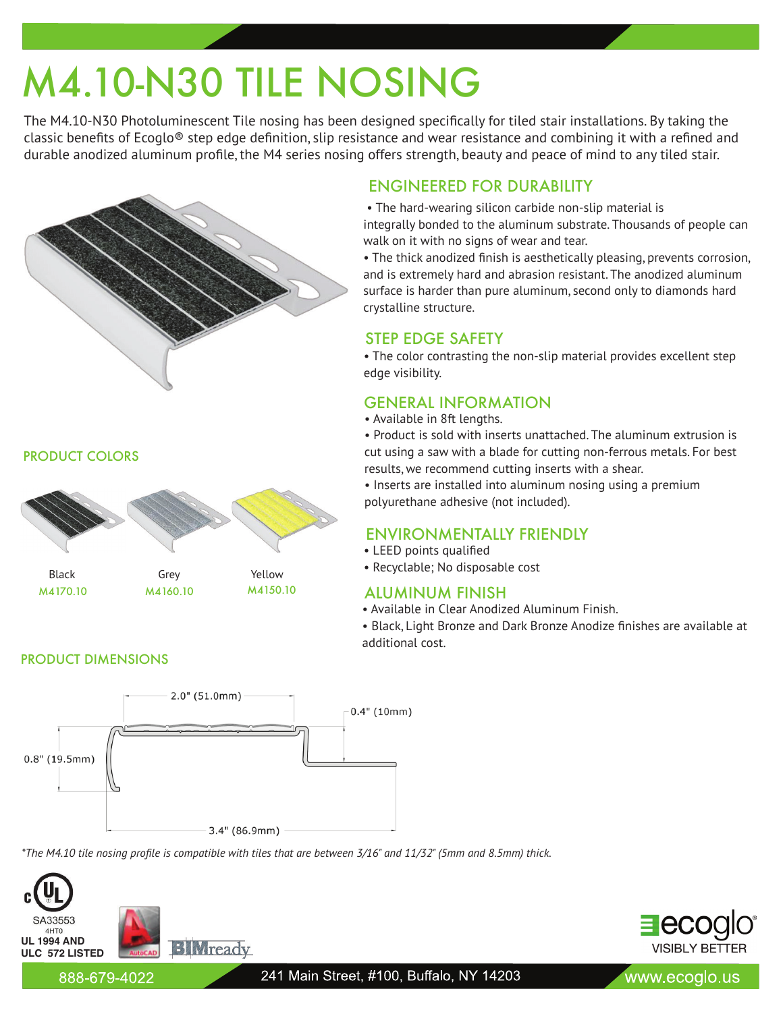# M4.10-N30 TILE NOSING

The M4.10-N30 Photoluminescent Tile nosing has been designed specifically for tiled stair installations. By taking the classic benefits of Ecoglo<sup>®</sup> step edge definition, slip resistance and wear resistance and combining it with a refined and durable anodized aluminum profile, the M4 series nosing offers strength, beauty and peace of mind to any tiled stair.



PRODUCT COLORS



PRODUCT DIMENSIONS



*\*The M4.10 tile nosing profile is compatible with tiles that are between 3/16" and 11/32" (5mm and 8.5mm) thick.*



# ENGINEERED FOR DURABILITY

 • The hard-wearing silicon carbide non-slip material is integrally bonded to the aluminum substrate. Thousands of people can walk on it with no signs of wear and tear.

• The thick anodized finish is aesthetically pleasing, prevents corrosion, and is extremely hard and abrasion resistant. The anodized aluminum surface is harder than pure aluminum, second only to diamonds hard crystalline structure.

# STEP EDGE SAFETY

• The color contrasting the non-slip material provides excellent step edge visibility.

# GENERAL INFORMATION

• Available in 8ft lengths.

• Product is sold with inserts unattached. The aluminum extrusion is cut using a saw with a blade for cutting non-ferrous metals. For best results, we recommend cutting inserts with a shear.

• Inserts are installed into aluminum nosing using a premium polyurethane adhesive (not included).

# ENVIRONMENTALLY FRIENDLY

- LEED points qualified
- Recyclable; No disposable cost

## ALUMINUM FINISH

• Available in Clear Anodized Aluminum Finish.

• Black, Light Bronze and Dark Bronze Anodize finishes are available at additional cost.



888-679-4022

241 Main Street, #100, Buffalo, NY 14203

www.ecoglo.us